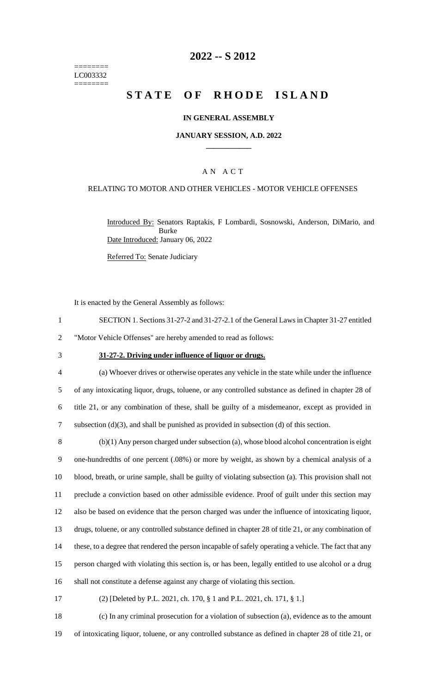======== LC003332 ========

### **2022 -- S 2012**

# **STATE OF RHODE ISLAND**

### **IN GENERAL ASSEMBLY**

#### **JANUARY SESSION, A.D. 2022 \_\_\_\_\_\_\_\_\_\_\_\_**

### A N A C T

### RELATING TO MOTOR AND OTHER VEHICLES - MOTOR VEHICLE OFFENSES

Introduced By: Senators Raptakis, F Lombardi, Sosnowski, Anderson, DiMario, and Burke Date Introduced: January 06, 2022

Referred To: Senate Judiciary

It is enacted by the General Assembly as follows:

1 SECTION 1. Sections 31-27-2 and 31-27-2.1 of the General Laws in Chapter 31-27 entitled 2 "Motor Vehicle Offenses" are hereby amended to read as follows:

#### 3 **31-27-2. Driving under influence of liquor or drugs.**

 (a) Whoever drives or otherwise operates any vehicle in the state while under the influence of any intoxicating liquor, drugs, toluene, or any controlled substance as defined in chapter 28 of title 21, or any combination of these, shall be guilty of a misdemeanor, except as provided in subsection (d)(3), and shall be punished as provided in subsection (d) of this section.

 (b)(1) Any person charged under subsection (a), whose blood alcohol concentration is eight one-hundredths of one percent (.08%) or more by weight, as shown by a chemical analysis of a blood, breath, or urine sample, shall be guilty of violating subsection (a). This provision shall not preclude a conviction based on other admissible evidence. Proof of guilt under this section may also be based on evidence that the person charged was under the influence of intoxicating liquor, drugs, toluene, or any controlled substance defined in chapter 28 of title 21, or any combination of these, to a degree that rendered the person incapable of safely operating a vehicle. The fact that any person charged with violating this section is, or has been, legally entitled to use alcohol or a drug shall not constitute a defense against any charge of violating this section.

17 (2) [Deleted by P.L. 2021, ch. 170, § 1 and P.L. 2021, ch. 171, § 1.]

18 (c) In any criminal prosecution for a violation of subsection (a), evidence as to the amount 19 of intoxicating liquor, toluene, or any controlled substance as defined in chapter 28 of title 21, or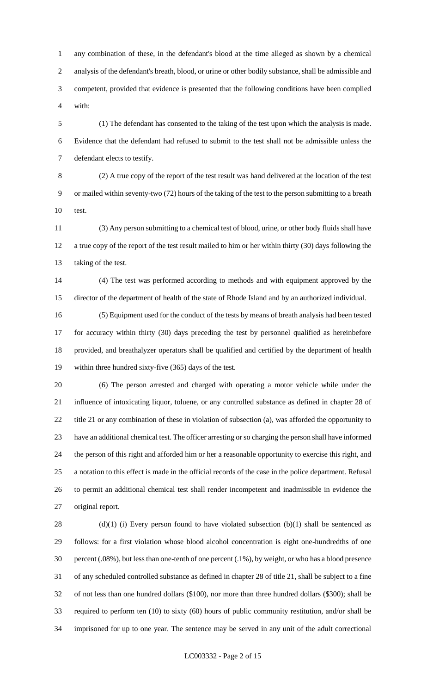any combination of these, in the defendant's blood at the time alleged as shown by a chemical analysis of the defendant's breath, blood, or urine or other bodily substance, shall be admissible and competent, provided that evidence is presented that the following conditions have been complied with:

 (1) The defendant has consented to the taking of the test upon which the analysis is made. Evidence that the defendant had refused to submit to the test shall not be admissible unless the defendant elects to testify.

 (2) A true copy of the report of the test result was hand delivered at the location of the test or mailed within seventy-two (72) hours of the taking of the test to the person submitting to a breath test.

 (3) Any person submitting to a chemical test of blood, urine, or other body fluids shall have a true copy of the report of the test result mailed to him or her within thirty (30) days following the taking of the test.

 (4) The test was performed according to methods and with equipment approved by the director of the department of health of the state of Rhode Island and by an authorized individual.

 (5) Equipment used for the conduct of the tests by means of breath analysis had been tested for accuracy within thirty (30) days preceding the test by personnel qualified as hereinbefore provided, and breathalyzer operators shall be qualified and certified by the department of health within three hundred sixty-five (365) days of the test.

 (6) The person arrested and charged with operating a motor vehicle while under the influence of intoxicating liquor, toluene, or any controlled substance as defined in chapter 28 of title 21 or any combination of these in violation of subsection (a), was afforded the opportunity to have an additional chemical test. The officer arresting or so charging the person shall have informed the person of this right and afforded him or her a reasonable opportunity to exercise this right, and a notation to this effect is made in the official records of the case in the police department. Refusal to permit an additional chemical test shall render incompetent and inadmissible in evidence the original report.

28 (d)(1) (i) Every person found to have violated subsection  $(b)(1)$  shall be sentenced as follows: for a first violation whose blood alcohol concentration is eight one-hundredths of one percent (.08%), but less than one-tenth of one percent (.1%), by weight, or who has a blood presence of any scheduled controlled substance as defined in chapter 28 of title 21, shall be subject to a fine of not less than one hundred dollars (\$100), nor more than three hundred dollars (\$300); shall be required to perform ten (10) to sixty (60) hours of public community restitution, and/or shall be imprisoned for up to one year. The sentence may be served in any unit of the adult correctional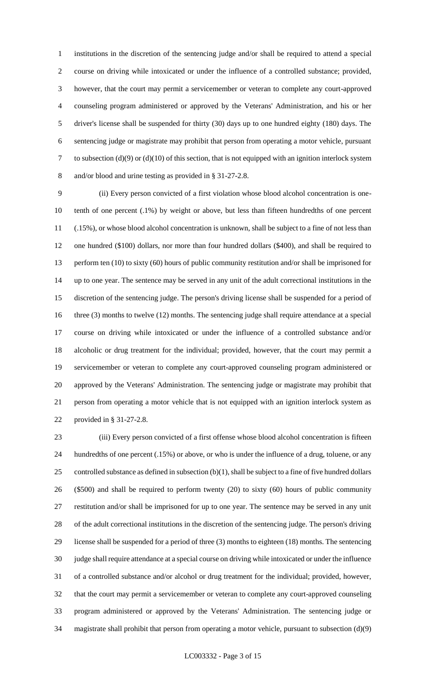institutions in the discretion of the sentencing judge and/or shall be required to attend a special course on driving while intoxicated or under the influence of a controlled substance; provided, however, that the court may permit a servicemember or veteran to complete any court-approved counseling program administered or approved by the Veterans' Administration, and his or her driver's license shall be suspended for thirty (30) days up to one hundred eighty (180) days. The sentencing judge or magistrate may prohibit that person from operating a motor vehicle, pursuant to subsection (d)(9) or (d)(10) of this section, that is not equipped with an ignition interlock system and/or blood and urine testing as provided in § 31-27-2.8.

 (ii) Every person convicted of a first violation whose blood alcohol concentration is one- tenth of one percent (.1%) by weight or above, but less than fifteen hundredths of one percent (.15%), or whose blood alcohol concentration is unknown, shall be subject to a fine of not less than one hundred (\$100) dollars, nor more than four hundred dollars (\$400), and shall be required to perform ten (10) to sixty (60) hours of public community restitution and/or shall be imprisoned for up to one year. The sentence may be served in any unit of the adult correctional institutions in the discretion of the sentencing judge. The person's driving license shall be suspended for a period of 16 three (3) months to twelve (12) months. The sentencing judge shall require attendance at a special course on driving while intoxicated or under the influence of a controlled substance and/or alcoholic or drug treatment for the individual; provided, however, that the court may permit a servicemember or veteran to complete any court-approved counseling program administered or approved by the Veterans' Administration. The sentencing judge or magistrate may prohibit that person from operating a motor vehicle that is not equipped with an ignition interlock system as provided in § 31-27-2.8.

 (iii) Every person convicted of a first offense whose blood alcohol concentration is fifteen hundredths of one percent (.15%) or above, or who is under the influence of a drug, toluene, or any controlled substance as defined in subsection (b)(1), shall be subject to a fine of five hundred dollars (\$500) and shall be required to perform twenty (20) to sixty (60) hours of public community restitution and/or shall be imprisoned for up to one year. The sentence may be served in any unit of the adult correctional institutions in the discretion of the sentencing judge. The person's driving license shall be suspended for a period of three (3) months to eighteen (18) months. The sentencing judge shall require attendance at a special course on driving while intoxicated or under the influence of a controlled substance and/or alcohol or drug treatment for the individual; provided, however, that the court may permit a servicemember or veteran to complete any court-approved counseling program administered or approved by the Veterans' Administration. The sentencing judge or magistrate shall prohibit that person from operating a motor vehicle, pursuant to subsection (d)(9)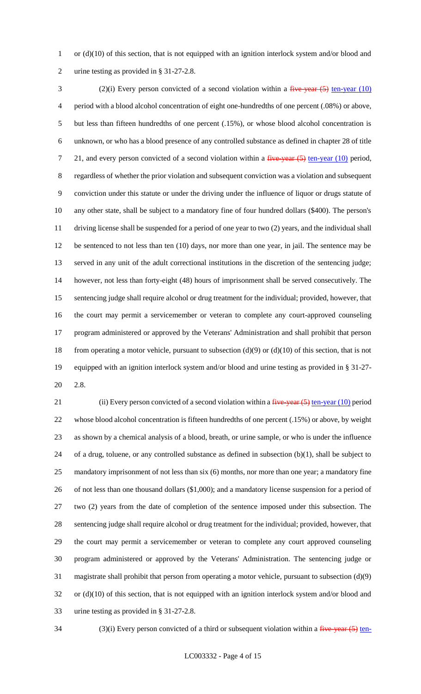1 or (d)(10) of this section, that is not equipped with an ignition interlock system and/or blood and urine testing as provided in § 31-27-2.8.

3 (2)(i) Every person convicted of a second violation within a five-year (5) ten-year (10) period with a blood alcohol concentration of eight one-hundredths of one percent (.08%) or above, but less than fifteen hundredths of one percent (.15%), or whose blood alcohol concentration is unknown, or who has a blood presence of any controlled substance as defined in chapter 28 of title 7 21, and every person convicted of a second violation within a  $f^2$  iver-year (5) ten-year (10) period, regardless of whether the prior violation and subsequent conviction was a violation and subsequent conviction under this statute or under the driving under the influence of liquor or drugs statute of any other state, shall be subject to a mandatory fine of four hundred dollars (\$400). The person's driving license shall be suspended for a period of one year to two (2) years, and the individual shall be sentenced to not less than ten (10) days, nor more than one year, in jail. The sentence may be served in any unit of the adult correctional institutions in the discretion of the sentencing judge; however, not less than forty-eight (48) hours of imprisonment shall be served consecutively. The sentencing judge shall require alcohol or drug treatment for the individual; provided, however, that the court may permit a servicemember or veteran to complete any court-approved counseling program administered or approved by the Veterans' Administration and shall prohibit that person 18 from operating a motor vehicle, pursuant to subsection  $(d)(9)$  or  $(d)(10)$  of this section, that is not equipped with an ignition interlock system and/or blood and urine testing as provided in § 31-27- 2.8.

21 (ii) Every person convicted of a second violation within a  $\frac{five\text{-}year (5) ten\text{-}year (10)}{10} period$  whose blood alcohol concentration is fifteen hundredths of one percent (.15%) or above, by weight as shown by a chemical analysis of a blood, breath, or urine sample, or who is under the influence of a drug, toluene, or any controlled substance as defined in subsection (b)(1), shall be subject to mandatory imprisonment of not less than six (6) months, nor more than one year; a mandatory fine of not less than one thousand dollars (\$1,000); and a mandatory license suspension for a period of two (2) years from the date of completion of the sentence imposed under this subsection. The sentencing judge shall require alcohol or drug treatment for the individual; provided, however, that the court may permit a servicemember or veteran to complete any court approved counseling program administered or approved by the Veterans' Administration. The sentencing judge or magistrate shall prohibit that person from operating a motor vehicle, pursuant to subsection (d)(9) or (d)(10) of this section, that is not equipped with an ignition interlock system and/or blood and urine testing as provided in § 31-27-2.8.

34 (3)(i) Every person convicted of a third or subsequent violation within a  $\frac{f^2}{f^2}$  ten-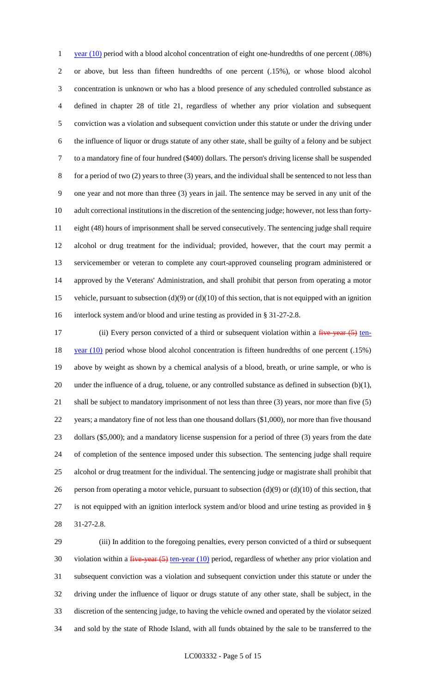1 year (10) period with a blood alcohol concentration of eight one-hundredths of one percent (.08%) or above, but less than fifteen hundredths of one percent (.15%), or whose blood alcohol concentration is unknown or who has a blood presence of any scheduled controlled substance as defined in chapter 28 of title 21, regardless of whether any prior violation and subsequent conviction was a violation and subsequent conviction under this statute or under the driving under the influence of liquor or drugs statute of any other state, shall be guilty of a felony and be subject to a mandatory fine of four hundred (\$400) dollars. The person's driving license shall be suspended for a period of two (2) years to three (3) years, and the individual shall be sentenced to not less than one year and not more than three (3) years in jail. The sentence may be served in any unit of the adult correctional institutions in the discretion of the sentencing judge; however, not less than forty- eight (48) hours of imprisonment shall be served consecutively. The sentencing judge shall require alcohol or drug treatment for the individual; provided, however, that the court may permit a servicemember or veteran to complete any court-approved counseling program administered or approved by the Veterans' Administration, and shall prohibit that person from operating a motor vehicle, pursuant to subsection (d)(9) or (d)(10) of this section, that is not equipped with an ignition interlock system and/or blood and urine testing as provided in § 31-27-2.8.

17 (ii) Every person convicted of a third or subsequent violation within a five-year (5) ten-18 year (10) period whose blood alcohol concentration is fifteen hundredths of one percent (.15%) above by weight as shown by a chemical analysis of a blood, breath, or urine sample, or who is under the influence of a drug, toluene, or any controlled substance as defined in subsection (b)(1), shall be subject to mandatory imprisonment of not less than three (3) years, nor more than five (5) years; a mandatory fine of not less than one thousand dollars (\$1,000), nor more than five thousand dollars (\$5,000); and a mandatory license suspension for a period of three (3) years from the date of completion of the sentence imposed under this subsection. The sentencing judge shall require alcohol or drug treatment for the individual. The sentencing judge or magistrate shall prohibit that 26 person from operating a motor vehicle, pursuant to subsection  $(d)(9)$  or  $(d)(10)$  of this section, that is not equipped with an ignition interlock system and/or blood and urine testing as provided in § 31-27-2.8.

 (iii) In addition to the foregoing penalties, every person convicted of a third or subsequent 30 violation within a  $\frac{five-year(5)}{en-year(10)}$  period, regardless of whether any prior violation and subsequent conviction was a violation and subsequent conviction under this statute or under the driving under the influence of liquor or drugs statute of any other state, shall be subject, in the discretion of the sentencing judge, to having the vehicle owned and operated by the violator seized and sold by the state of Rhode Island, with all funds obtained by the sale to be transferred to the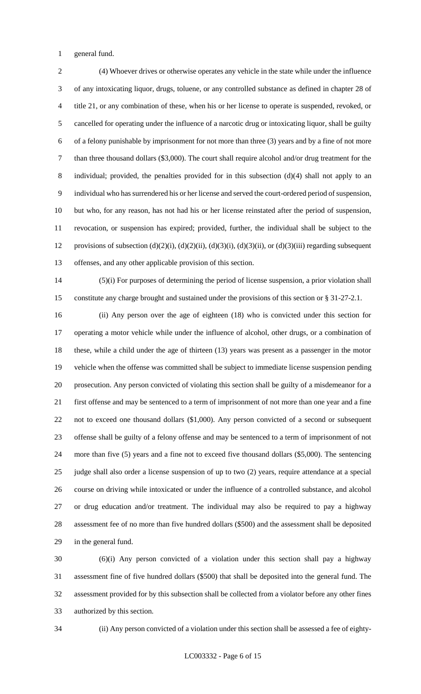general fund.

 (4) Whoever drives or otherwise operates any vehicle in the state while under the influence of any intoxicating liquor, drugs, toluene, or any controlled substance as defined in chapter 28 of title 21, or any combination of these, when his or her license to operate is suspended, revoked, or cancelled for operating under the influence of a narcotic drug or intoxicating liquor, shall be guilty of a felony punishable by imprisonment for not more than three (3) years and by a fine of not more than three thousand dollars (\$3,000). The court shall require alcohol and/or drug treatment for the individual; provided, the penalties provided for in this subsection (d)(4) shall not apply to an individual who has surrendered his or her license and served the court-ordered period of suspension, but who, for any reason, has not had his or her license reinstated after the period of suspension, revocation, or suspension has expired; provided, further, the individual shall be subject to the 12 provisions of subsection  $(d)(2)(i)$ ,  $(d)(2)(ii)$ ,  $(d)(3)(i)$ ,  $(d)(3)(ii)$ , or  $(d)(3)(iii)$  regarding subsequent offenses, and any other applicable provision of this section.

 (5)(i) For purposes of determining the period of license suspension, a prior violation shall constitute any charge brought and sustained under the provisions of this section or § 31-27-2.1.

 (ii) Any person over the age of eighteen (18) who is convicted under this section for operating a motor vehicle while under the influence of alcohol, other drugs, or a combination of these, while a child under the age of thirteen (13) years was present as a passenger in the motor vehicle when the offense was committed shall be subject to immediate license suspension pending prosecution. Any person convicted of violating this section shall be guilty of a misdemeanor for a first offense and may be sentenced to a term of imprisonment of not more than one year and a fine not to exceed one thousand dollars (\$1,000). Any person convicted of a second or subsequent offense shall be guilty of a felony offense and may be sentenced to a term of imprisonment of not more than five (5) years and a fine not to exceed five thousand dollars (\$5,000). The sentencing judge shall also order a license suspension of up to two (2) years, require attendance at a special course on driving while intoxicated or under the influence of a controlled substance, and alcohol or drug education and/or treatment. The individual may also be required to pay a highway assessment fee of no more than five hundred dollars (\$500) and the assessment shall be deposited in the general fund.

 (6)(i) Any person convicted of a violation under this section shall pay a highway assessment fine of five hundred dollars (\$500) that shall be deposited into the general fund. The assessment provided for by this subsection shall be collected from a violator before any other fines authorized by this section.

(ii) Any person convicted of a violation under this section shall be assessed a fee of eighty-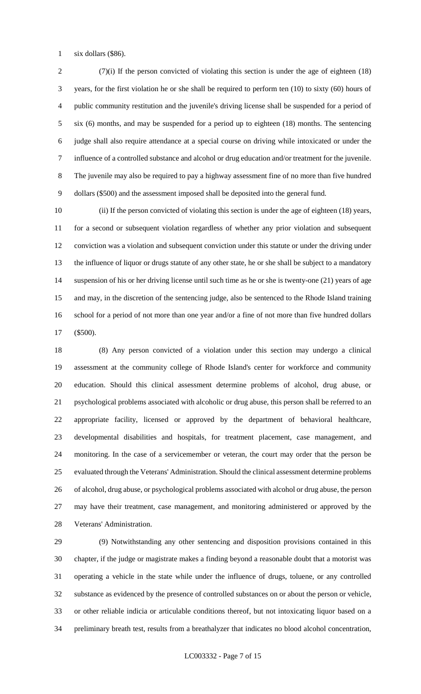six dollars (\$86).

 (7)(i) If the person convicted of violating this section is under the age of eighteen (18) years, for the first violation he or she shall be required to perform ten (10) to sixty (60) hours of public community restitution and the juvenile's driving license shall be suspended for a period of six (6) months, and may be suspended for a period up to eighteen (18) months. The sentencing judge shall also require attendance at a special course on driving while intoxicated or under the influence of a controlled substance and alcohol or drug education and/or treatment for the juvenile. The juvenile may also be required to pay a highway assessment fine of no more than five hundred dollars (\$500) and the assessment imposed shall be deposited into the general fund.

 (ii) If the person convicted of violating this section is under the age of eighteen (18) years, for a second or subsequent violation regardless of whether any prior violation and subsequent conviction was a violation and subsequent conviction under this statute or under the driving under the influence of liquor or drugs statute of any other state, he or she shall be subject to a mandatory suspension of his or her driving license until such time as he or she is twenty-one (21) years of age and may, in the discretion of the sentencing judge, also be sentenced to the Rhode Island training school for a period of not more than one year and/or a fine of not more than five hundred dollars (\$500).

 (8) Any person convicted of a violation under this section may undergo a clinical assessment at the community college of Rhode Island's center for workforce and community education. Should this clinical assessment determine problems of alcohol, drug abuse, or psychological problems associated with alcoholic or drug abuse, this person shall be referred to an appropriate facility, licensed or approved by the department of behavioral healthcare, developmental disabilities and hospitals, for treatment placement, case management, and monitoring. In the case of a servicemember or veteran, the court may order that the person be evaluated through the Veterans' Administration. Should the clinical assessment determine problems of alcohol, drug abuse, or psychological problems associated with alcohol or drug abuse, the person may have their treatment, case management, and monitoring administered or approved by the Veterans' Administration.

 (9) Notwithstanding any other sentencing and disposition provisions contained in this chapter, if the judge or magistrate makes a finding beyond a reasonable doubt that a motorist was operating a vehicle in the state while under the influence of drugs, toluene, or any controlled substance as evidenced by the presence of controlled substances on or about the person or vehicle, or other reliable indicia or articulable conditions thereof, but not intoxicating liquor based on a preliminary breath test, results from a breathalyzer that indicates no blood alcohol concentration,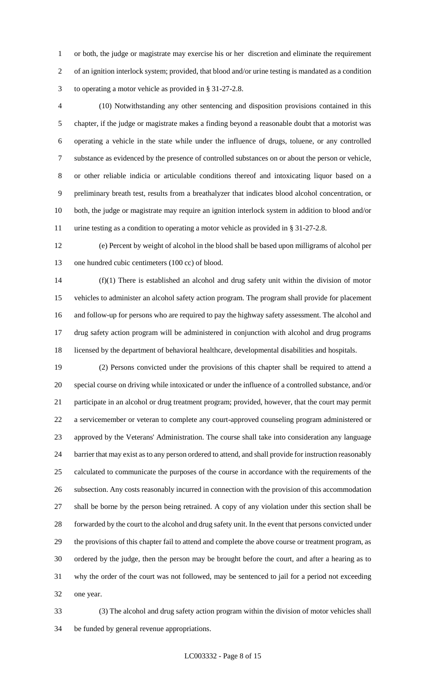or both, the judge or magistrate may exercise his or her discretion and eliminate the requirement of an ignition interlock system; provided, that blood and/or urine testing is mandated as a condition to operating a motor vehicle as provided in § 31-27-2.8.

 (10) Notwithstanding any other sentencing and disposition provisions contained in this chapter, if the judge or magistrate makes a finding beyond a reasonable doubt that a motorist was operating a vehicle in the state while under the influence of drugs, toluene, or any controlled substance as evidenced by the presence of controlled substances on or about the person or vehicle, or other reliable indicia or articulable conditions thereof and intoxicating liquor based on a preliminary breath test, results from a breathalyzer that indicates blood alcohol concentration, or both, the judge or magistrate may require an ignition interlock system in addition to blood and/or urine testing as a condition to operating a motor vehicle as provided in § 31-27-2.8.

 (e) Percent by weight of alcohol in the blood shall be based upon milligrams of alcohol per one hundred cubic centimeters (100 cc) of blood.

 (f)(1) There is established an alcohol and drug safety unit within the division of motor vehicles to administer an alcohol safety action program. The program shall provide for placement and follow-up for persons who are required to pay the highway safety assessment. The alcohol and drug safety action program will be administered in conjunction with alcohol and drug programs licensed by the department of behavioral healthcare, developmental disabilities and hospitals.

 (2) Persons convicted under the provisions of this chapter shall be required to attend a special course on driving while intoxicated or under the influence of a controlled substance, and/or participate in an alcohol or drug treatment program; provided, however, that the court may permit a servicemember or veteran to complete any court-approved counseling program administered or approved by the Veterans' Administration. The course shall take into consideration any language barrier that may exist as to any person ordered to attend, and shall provide for instruction reasonably calculated to communicate the purposes of the course in accordance with the requirements of the subsection. Any costs reasonably incurred in connection with the provision of this accommodation shall be borne by the person being retrained. A copy of any violation under this section shall be forwarded by the court to the alcohol and drug safety unit. In the event that persons convicted under the provisions of this chapter fail to attend and complete the above course or treatment program, as ordered by the judge, then the person may be brought before the court, and after a hearing as to why the order of the court was not followed, may be sentenced to jail for a period not exceeding one year.

 (3) The alcohol and drug safety action program within the division of motor vehicles shall be funded by general revenue appropriations.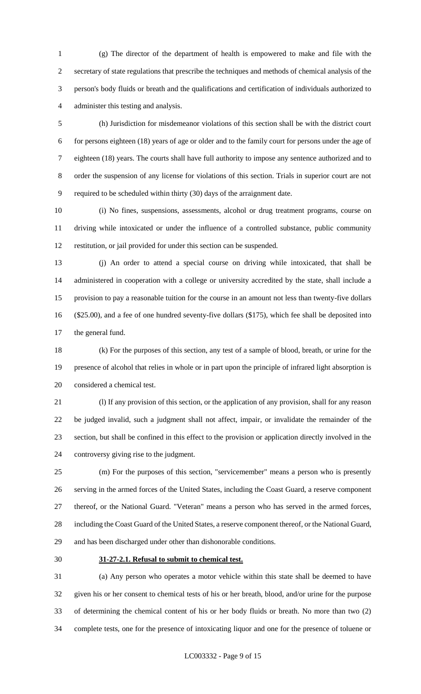(g) The director of the department of health is empowered to make and file with the secretary of state regulations that prescribe the techniques and methods of chemical analysis of the person's body fluids or breath and the qualifications and certification of individuals authorized to administer this testing and analysis.

 (h) Jurisdiction for misdemeanor violations of this section shall be with the district court for persons eighteen (18) years of age or older and to the family court for persons under the age of eighteen (18) years. The courts shall have full authority to impose any sentence authorized and to order the suspension of any license for violations of this section. Trials in superior court are not required to be scheduled within thirty (30) days of the arraignment date.

 (i) No fines, suspensions, assessments, alcohol or drug treatment programs, course on driving while intoxicated or under the influence of a controlled substance, public community restitution, or jail provided for under this section can be suspended.

 (j) An order to attend a special course on driving while intoxicated, that shall be administered in cooperation with a college or university accredited by the state, shall include a provision to pay a reasonable tuition for the course in an amount not less than twenty-five dollars (\$25.00), and a fee of one hundred seventy-five dollars (\$175), which fee shall be deposited into the general fund.

 (k) For the purposes of this section, any test of a sample of blood, breath, or urine for the presence of alcohol that relies in whole or in part upon the principle of infrared light absorption is considered a chemical test.

 (l) If any provision of this section, or the application of any provision, shall for any reason be judged invalid, such a judgment shall not affect, impair, or invalidate the remainder of the section, but shall be confined in this effect to the provision or application directly involved in the controversy giving rise to the judgment.

 (m) For the purposes of this section, "servicemember" means a person who is presently serving in the armed forces of the United States, including the Coast Guard, a reserve component thereof, or the National Guard. "Veteran" means a person who has served in the armed forces, including the Coast Guard of the United States, a reserve component thereof, or the National Guard, and has been discharged under other than dishonorable conditions.

### **31-27-2.1. Refusal to submit to chemical test.**

 (a) Any person who operates a motor vehicle within this state shall be deemed to have given his or her consent to chemical tests of his or her breath, blood, and/or urine for the purpose of determining the chemical content of his or her body fluids or breath. No more than two (2) complete tests, one for the presence of intoxicating liquor and one for the presence of toluene or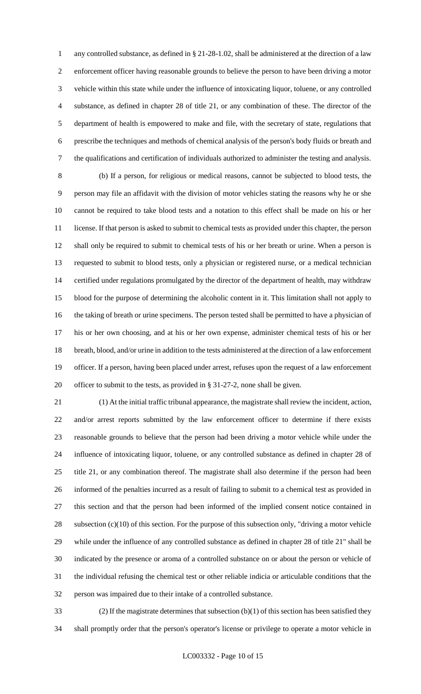any controlled substance, as defined in § 21-28-1.02, shall be administered at the direction of a law enforcement officer having reasonable grounds to believe the person to have been driving a motor vehicle within this state while under the influence of intoxicating liquor, toluene, or any controlled substance, as defined in chapter 28 of title 21, or any combination of these. The director of the department of health is empowered to make and file, with the secretary of state, regulations that prescribe the techniques and methods of chemical analysis of the person's body fluids or breath and the qualifications and certification of individuals authorized to administer the testing and analysis.

 (b) If a person, for religious or medical reasons, cannot be subjected to blood tests, the person may file an affidavit with the division of motor vehicles stating the reasons why he or she cannot be required to take blood tests and a notation to this effect shall be made on his or her license. If that person is asked to submit to chemical tests as provided under this chapter, the person shall only be required to submit to chemical tests of his or her breath or urine. When a person is requested to submit to blood tests, only a physician or registered nurse, or a medical technician certified under regulations promulgated by the director of the department of health, may withdraw blood for the purpose of determining the alcoholic content in it. This limitation shall not apply to the taking of breath or urine specimens. The person tested shall be permitted to have a physician of his or her own choosing, and at his or her own expense, administer chemical tests of his or her breath, blood, and/or urine in addition to the tests administered at the direction of a law enforcement officer. If a person, having been placed under arrest, refuses upon the request of a law enforcement officer to submit to the tests, as provided in § 31-27-2, none shall be given.

 (1) At the initial traffic tribunal appearance, the magistrate shall review the incident, action, and/or arrest reports submitted by the law enforcement officer to determine if there exists reasonable grounds to believe that the person had been driving a motor vehicle while under the influence of intoxicating liquor, toluene, or any controlled substance as defined in chapter 28 of title 21, or any combination thereof. The magistrate shall also determine if the person had been informed of the penalties incurred as a result of failing to submit to a chemical test as provided in this section and that the person had been informed of the implied consent notice contained in subsection (c)(10) of this section. For the purpose of this subsection only, "driving a motor vehicle while under the influence of any controlled substance as defined in chapter 28 of title 21" shall be indicated by the presence or aroma of a controlled substance on or about the person or vehicle of the individual refusing the chemical test or other reliable indicia or articulable conditions that the person was impaired due to their intake of a controlled substance.

 (2) If the magistrate determines that subsection (b)(1) of this section has been satisfied they shall promptly order that the person's operator's license or privilege to operate a motor vehicle in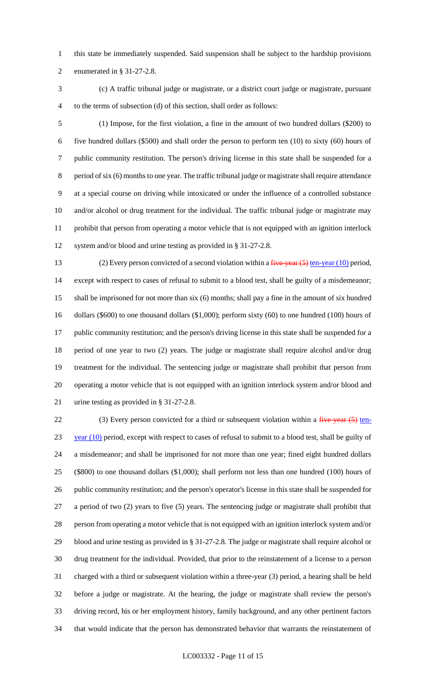this state be immediately suspended. Said suspension shall be subject to the hardship provisions enumerated in § 31-27-2.8.

 (c) A traffic tribunal judge or magistrate, or a district court judge or magistrate, pursuant to the terms of subsection (d) of this section, shall order as follows:

 (1) Impose, for the first violation, a fine in the amount of two hundred dollars (\$200) to five hundred dollars (\$500) and shall order the person to perform ten (10) to sixty (60) hours of public community restitution. The person's driving license in this state shall be suspended for a period of six (6) months to one year. The traffic tribunal judge or magistrate shall require attendance at a special course on driving while intoxicated or under the influence of a controlled substance and/or alcohol or drug treatment for the individual. The traffic tribunal judge or magistrate may prohibit that person from operating a motor vehicle that is not equipped with an ignition interlock system and/or blood and urine testing as provided in § 31-27-2.8.

13 (2) Every person convicted of a second violation within a *five-year* (5) ten-year (10) period, except with respect to cases of refusal to submit to a blood test, shall be guilty of a misdemeanor; shall be imprisoned for not more than six (6) months; shall pay a fine in the amount of six hundred 16 dollars (\$600) to one thousand dollars (\$1,000); perform sixty (60) to one hundred (100) hours of public community restitution; and the person's driving license in this state shall be suspended for a period of one year to two (2) years. The judge or magistrate shall require alcohol and/or drug treatment for the individual. The sentencing judge or magistrate shall prohibit that person from operating a motor vehicle that is not equipped with an ignition interlock system and/or blood and urine testing as provided in § 31-27-2.8.

22 (3) Every person convicted for a third or subsequent violation within a five-year (5) ten- year (10) period, except with respect to cases of refusal to submit to a blood test, shall be guilty of a misdemeanor; and shall be imprisoned for not more than one year; fined eight hundred dollars (\$800) to one thousand dollars (\$1,000); shall perform not less than one hundred (100) hours of public community restitution; and the person's operator's license in this state shall be suspended for a period of two (2) years to five (5) years. The sentencing judge or magistrate shall prohibit that person from operating a motor vehicle that is not equipped with an ignition interlock system and/or blood and urine testing as provided in § 31-27-2.8. The judge or magistrate shall require alcohol or drug treatment for the individual. Provided, that prior to the reinstatement of a license to a person charged with a third or subsequent violation within a three-year (3) period, a hearing shall be held before a judge or magistrate. At the hearing, the judge or magistrate shall review the person's driving record, his or her employment history, family background, and any other pertinent factors that would indicate that the person has demonstrated behavior that warrants the reinstatement of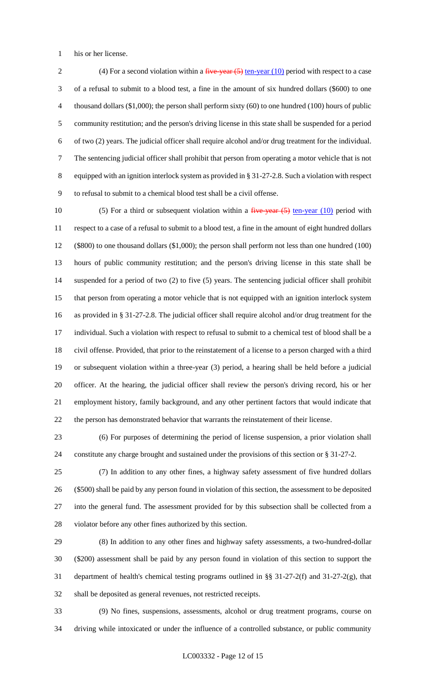his or her license.

2 (4) For a second violation within a  $five-year (5) ten-year (10) period with respect to a case$  of a refusal to submit to a blood test, a fine in the amount of six hundred dollars (\$600) to one thousand dollars (\$1,000); the person shall perform sixty (60) to one hundred (100) hours of public community restitution; and the person's driving license in this state shall be suspended for a period of two (2) years. The judicial officer shall require alcohol and/or drug treatment for the individual. The sentencing judicial officer shall prohibit that person from operating a motor vehicle that is not equipped with an ignition interlock system as provided in § 31-27-2.8. Such a violation with respect to refusal to submit to a chemical blood test shall be a civil offense.

10 (5) For a third or subsequent violation within a  $f^2$  ive year  $(5)$  ten-year (10) period with respect to a case of a refusal to submit to a blood test, a fine in the amount of eight hundred dollars (\$800) to one thousand dollars (\$1,000); the person shall perform not less than one hundred (100) hours of public community restitution; and the person's driving license in this state shall be suspended for a period of two (2) to five (5) years. The sentencing judicial officer shall prohibit that person from operating a motor vehicle that is not equipped with an ignition interlock system as provided in § 31-27-2.8. The judicial officer shall require alcohol and/or drug treatment for the individual. Such a violation with respect to refusal to submit to a chemical test of blood shall be a civil offense. Provided, that prior to the reinstatement of a license to a person charged with a third or subsequent violation within a three-year (3) period, a hearing shall be held before a judicial officer. At the hearing, the judicial officer shall review the person's driving record, his or her employment history, family background, and any other pertinent factors that would indicate that the person has demonstrated behavior that warrants the reinstatement of their license.

 (6) For purposes of determining the period of license suspension, a prior violation shall constitute any charge brought and sustained under the provisions of this section or § 31-27-2.

 (7) In addition to any other fines, a highway safety assessment of five hundred dollars (\$500) shall be paid by any person found in violation of this section, the assessment to be deposited into the general fund. The assessment provided for by this subsection shall be collected from a violator before any other fines authorized by this section.

 (8) In addition to any other fines and highway safety assessments, a two-hundred-dollar (\$200) assessment shall be paid by any person found in violation of this section to support the department of health's chemical testing programs outlined in §§ 31-27-2(f) and 31-27-2(g), that shall be deposited as general revenues, not restricted receipts.

 (9) No fines, suspensions, assessments, alcohol or drug treatment programs, course on driving while intoxicated or under the influence of a controlled substance, or public community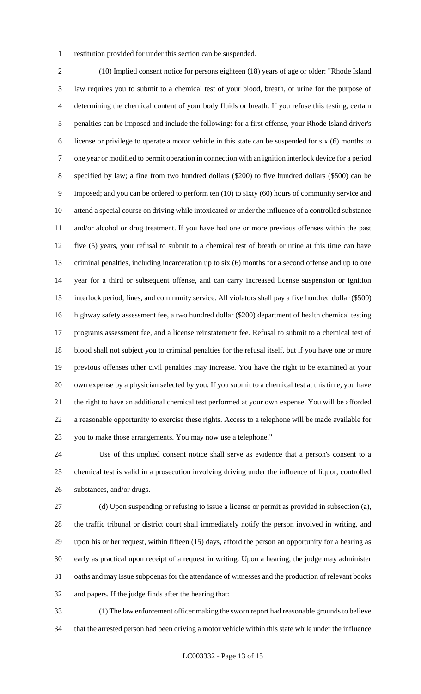restitution provided for under this section can be suspended.

 (10) Implied consent notice for persons eighteen (18) years of age or older: "Rhode Island law requires you to submit to a chemical test of your blood, breath, or urine for the purpose of determining the chemical content of your body fluids or breath. If you refuse this testing, certain penalties can be imposed and include the following: for a first offense, your Rhode Island driver's license or privilege to operate a motor vehicle in this state can be suspended for six (6) months to one year or modified to permit operation in connection with an ignition interlock device for a period specified by law; a fine from two hundred dollars (\$200) to five hundred dollars (\$500) can be imposed; and you can be ordered to perform ten (10) to sixty (60) hours of community service and attend a special course on driving while intoxicated or under the influence of a controlled substance and/or alcohol or drug treatment. If you have had one or more previous offenses within the past five (5) years, your refusal to submit to a chemical test of breath or urine at this time can have criminal penalties, including incarceration up to six (6) months for a second offense and up to one year for a third or subsequent offense, and can carry increased license suspension or ignition interlock period, fines, and community service. All violators shall pay a five hundred dollar (\$500) highway safety assessment fee, a two hundred dollar (\$200) department of health chemical testing programs assessment fee, and a license reinstatement fee. Refusal to submit to a chemical test of blood shall not subject you to criminal penalties for the refusal itself, but if you have one or more previous offenses other civil penalties may increase. You have the right to be examined at your own expense by a physician selected by you. If you submit to a chemical test at this time, you have the right to have an additional chemical test performed at your own expense. You will be afforded a reasonable opportunity to exercise these rights. Access to a telephone will be made available for you to make those arrangements. You may now use a telephone."

 Use of this implied consent notice shall serve as evidence that a person's consent to a chemical test is valid in a prosecution involving driving under the influence of liquor, controlled substances, and/or drugs.

 (d) Upon suspending or refusing to issue a license or permit as provided in subsection (a), the traffic tribunal or district court shall immediately notify the person involved in writing, and upon his or her request, within fifteen (15) days, afford the person an opportunity for a hearing as early as practical upon receipt of a request in writing. Upon a hearing, the judge may administer oaths and may issue subpoenas for the attendance of witnesses and the production of relevant books and papers. If the judge finds after the hearing that:

 (1) The law enforcement officer making the sworn report had reasonable grounds to believe that the arrested person had been driving a motor vehicle within this state while under the influence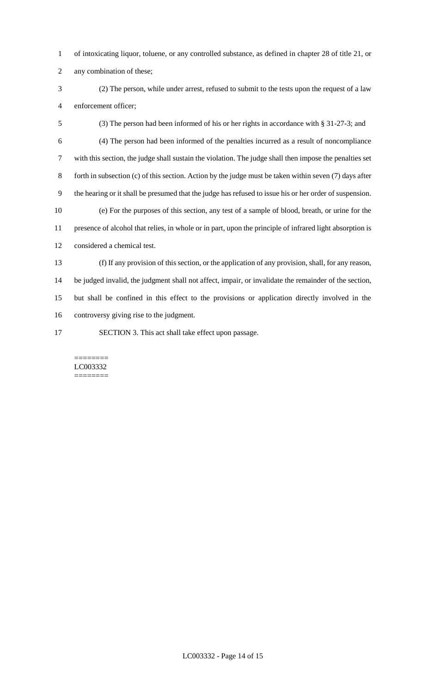- of intoxicating liquor, toluene, or any controlled substance, as defined in chapter 28 of title 21, or
- any combination of these;
- (2) The person, while under arrest, refused to submit to the tests upon the request of a law enforcement officer;
- (3) The person had been informed of his or her rights in accordance with § 31-27-3; and (4) The person had been informed of the penalties incurred as a result of noncompliance with this section, the judge shall sustain the violation. The judge shall then impose the penalties set forth in subsection (c) of this section. Action by the judge must be taken within seven (7) days after the hearing or it shall be presumed that the judge has refused to issue his or her order of suspension. (e) For the purposes of this section, any test of a sample of blood, breath, or urine for the presence of alcohol that relies, in whole or in part, upon the principle of infrared light absorption is considered a chemical test. (f) If any provision of this section, or the application of any provision, shall, for any reason, be judged invalid, the judgment shall not affect, impair, or invalidate the remainder of the section,

 but shall be confined in this effect to the provisions or application directly involved in the controversy giving rise to the judgment.

SECTION 3. This act shall take effect upon passage.

#### ======== LC003332 ========